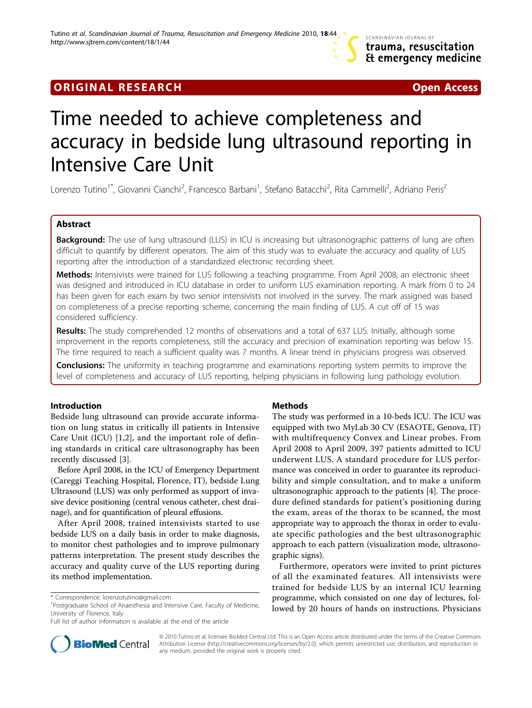## **ORIGINAL RESEARCH CONSUMING ACCESS**

# Time needed to achieve completeness and accuracy in bedside lung ultrasound reporting in Intensive Care Unit

Lorenzo Tutino<sup>1\*</sup>, Giovanni Cianchi<sup>2</sup>, Francesco Barbani<sup>1</sup>, Stefano Batacchi<sup>2</sup>, Rita Cammelli<sup>2</sup>, Adriano Peris<sup>2</sup>

## Abstract

Background: The use of lung ultrasound (LUS) in ICU is increasing but ultrasonographic patterns of lung are often difficult to quantify by different operators. The aim of this study was to evaluate the accuracy and quality of LUS reporting after the introduction of a standardized electronic recording sheet.

Methods: Intensivists were trained for LUS following a teaching programme. From April 2008, an electronic sheet was designed and introduced in ICU database in order to uniform LUS examination reporting. A mark from 0 to 24 has been given for each exam by two senior intensivists not involved in the survey. The mark assigned was based on completeness of a precise reporting scheme, concerning the main finding of LUS. A cut off of 15 was considered sufficiency.

Results: The study comprehended 12 months of observations and a total of 637 LUS. Initially, although some improvement in the reports completeness, still the accuracy and precision of examination reporting was below 15. The time required to reach a sufficient quality was 7 months. A linear trend in physicians progress was observed.

**Conclusions:** The uniformity in teaching programme and examinations reporting system permits to improve the level of completeness and accuracy of LUS reporting, helping physicians in following lung pathology evolution.

## Introduction

Bedside lung ultrasound can provide accurate information on lung status in critically ill patients in Intensive Care Unit (ICU) [[1,2\]](#page-3-0), and the important role of defining standards in critical care ultrasonography has been recently discussed [[3\]](#page-3-0).

Before April 2008, in the ICU of Emergency Department (Careggi Teaching Hospital, Florence, IT), bedside Lung Ultrasound (LUS) was only performed as support of invasive device positioning (central venous catheter, chest drainage), and for quantification of pleural effusions.

After April 2008, trained intensivists started to use bedside LUS on a daily basis in order to make diagnosis, to monitor chest pathologies and to improve pulmonary patterns interpretation. The present study describes the accuracy and quality curve of the LUS reporting during its method implementation.

Full list of author information is available at the end of the article

## Methods

The study was performed in a 10-beds ICU. The ICU was equipped with two MyLab 30 CV (ESAOTE, Genova, IT) with multifrequency Convex and Linear probes. From April 2008 to April 2009, 397 patients admitted to ICU underwent LUS. A standard procedure for LUS performance was conceived in order to guarantee its reproducibility and simple consultation, and to make a uniform ultrasonographic approach to the patients [[4](#page-3-0)]. The procedure defined standards for patient's positioning during the exam, areas of the thorax to be scanned, the most appropriate way to approach the thorax in order to evaluate specific pathologies and the best ultrasonographic approach to each pattern (visualization mode, ultrasonographic signs).

Furthermore, operators were invited to print pictures of all the examinated features. All intensivists were trained for bedside LUS by an internal ICU learning programme, which consisted on one day of lectures, followed by 20 hours of hands on instructions. Physicians



© 2010 Tutino et al; licensee BioMed Central Ltd. This is an Open Access article distributed under the terms of the Creative Commons Attribution License [\(http://creativecommons.org/licenses/by/2.0](http://creativecommons.org/licenses/by/2.0)), which permits unrestricted use, distribution, and reproduction in any medium, provided the original work is properly cited.

<sup>\*</sup> Correspondence: [lorenzotutino@gmail.com](mailto:lorenzotutino@gmail.com)

<sup>&</sup>lt;sup>1</sup>Postgraduate School of Anaesthesia and Intensive Care, Faculty of Medicine, University of Florence, Italy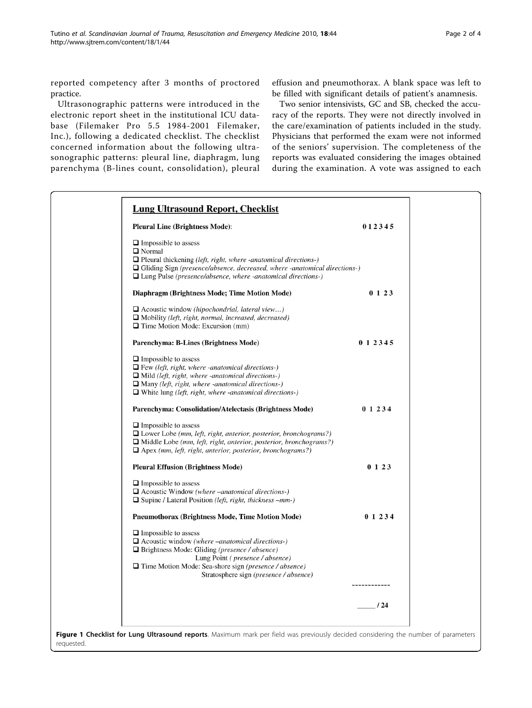<span id="page-1-0"></span>reported competency after 3 months of proctored practice.

Ultrasonographic patterns were introduced in the electronic report sheet in the institutional ICU database (Filemaker Pro 5.5 1984-2001 Filemaker, Inc.), following a dedicated checklist. The checklist concerned information about the following ultrasonographic patterns: pleural line, diaphragm, lung parenchyma (B-lines count, consolidation), pleural effusion and pneumothorax. A blank space was left to be filled with significant details of patient's anamnesis.

Two senior intensivists, GC and SB, checked the accuracy of the reports. They were not directly involved in the care/examination of patients included in the study. Physicians that performed the exam were not informed of the seniors' supervision. The completeness of the reports was evaluated considering the images obtained during the examination. A vote was assigned to each

| <b>Pleural Line (Brightness Mode):</b>                                                                                                                                                                                                                                                              | 012345      |
|-----------------------------------------------------------------------------------------------------------------------------------------------------------------------------------------------------------------------------------------------------------------------------------------------------|-------------|
| $\Box$ Impossible to assess<br>□ Normal<br>$\Box$ Pleural thickening (left, right, where -anatomical directions-)<br>$\Box$ Gliding Sign (presence/absence, decreased, where -anatomical directions-)<br>$\Box$ Lung Pulse (presence/absence, where -anatomical directions-)                        |             |
| Diaphragm (Brightness Mode; Time Motion Mode)                                                                                                                                                                                                                                                       | 0123        |
| $\Box$ Acoustic window (hipochondrial, lateral view)<br>$\Box$ Mobility (left, right, normal, increased, decreased)<br>$\Box$ Time Motion Mode: Excursion (mm)                                                                                                                                      |             |
| Parenchyma: B-Lines (Brightness Mode)                                                                                                                                                                                                                                                               | 0 1 2 3 4 5 |
| $\Box$ Impossible to assess<br>$\Box$ Few (left, right, where -anatomical directions-)<br>$\Box$ Mild (left, right, where -anatomical directions-)<br>$\Box$ Many (left, right, where -anatomical directions-)<br>$\Box$ White lung (left, right, where -anatomical directions-)                    |             |
| Parenchyma: Consolidation/Atelectasis (Brightness Mode)                                                                                                                                                                                                                                             | 0 1 2 3 4   |
| $\Box$ Impossible to assess<br>$\Box$ Lower Lobe (mm, left, right, anterior, posterior, bronchograms?)<br>$\Box$ Middle Lobe (mm, left, right, anterior, posterior, bronchograms?)<br>$\Box$ Apex (mm, left, right, anterior, posterior, bronchograms?)                                             |             |
| <b>Pleural Effusion (Brightness Mode)</b>                                                                                                                                                                                                                                                           | 0123        |
| $\Box$ Impossible to assess<br>$\Box$ Acoustic Window (where –anatomical directions-)<br>$\Box$ Supine / Lateral Position ( <i>left, right, thickness –mm-</i> )                                                                                                                                    |             |
| <b>Pneumothorax (Brightness Mode, Time Motion Mode)</b>                                                                                                                                                                                                                                             | 0 1 2 3 4   |
| $\Box$ Impossible to assess<br>$\Box$ Acoustic window (where –anatomical directions-)<br>$\Box$ Brightness Mode: Gliding (presence / absence)<br>Lung Point ( <i>presence</i> / <i>absence</i> )<br>Time Motion Mode: Sea-shore sign (presence / absence)<br>Stratosphere sign (presence / absence) |             |
|                                                                                                                                                                                                                                                                                                     |             |
|                                                                                                                                                                                                                                                                                                     | 124         |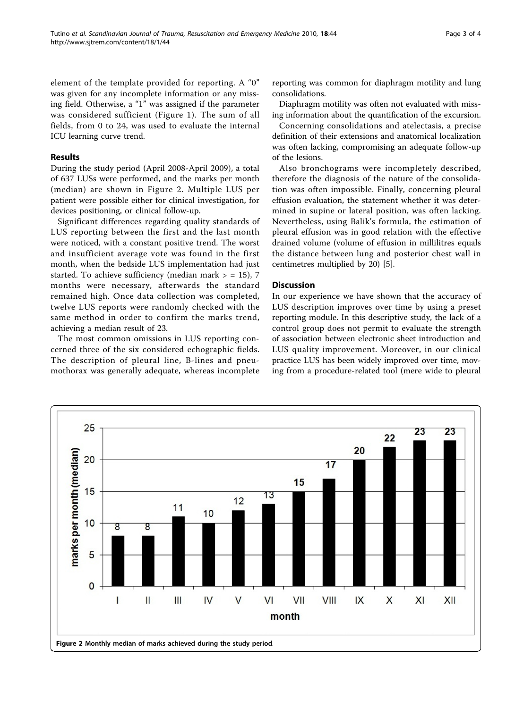element of the template provided for reporting. A "0" was given for any incomplete information or any missing field. Otherwise, a "1" was assigned if the parameter was considered sufficient (Figure [1\)](#page-1-0). The sum of all fields, from 0 to 24, was used to evaluate the internal ICU learning curve trend.

## Results

During the study period (April 2008-April 2009), a total of 637 LUSs were performed, and the marks per month (median) are shown in Figure 2. Multiple LUS per patient were possible either for clinical investigation, for devices positioning, or clinical follow-up.

Significant differences regarding quality standards of LUS reporting between the first and the last month were noticed, with a constant positive trend. The worst and insufficient average vote was found in the first month, when the bedside LUS implementation had just started. To achieve sufficiency (median mark  $>$  = 15), 7 months were necessary, afterwards the standard remained high. Once data collection was completed, twelve LUS reports were randomly checked with the same method in order to confirm the marks trend, achieving a median result of 23.

The most common omissions in LUS reporting concerned three of the six considered echographic fields. The description of pleural line, B-lines and pneumothorax was generally adequate, whereas incomplete reporting was common for diaphragm motility and lung consolidations.

Diaphragm motility was often not evaluated with missing information about the quantification of the excursion.

Concerning consolidations and atelectasis, a precise definition of their extensions and anatomical localization was often lacking, compromising an adequate follow-up of the lesions.

Also bronchograms were incompletely described, therefore the diagnosis of the nature of the consolidation was often impossible. Finally, concerning pleural effusion evaluation, the statement whether it was determined in supine or lateral position, was often lacking. Nevertheless, using Balik's formula, the estimation of pleural effusion was in good relation with the effective drained volume (volume of effusion in millilitres equals the distance between lung and posterior chest wall in centimetres multiplied by 20) [\[5\]](#page-3-0).

## **Discussion**

In our experience we have shown that the accuracy of LUS description improves over time by using a preset reporting module. In this descriptive study, the lack of a control group does not permit to evaluate the strength of association between electronic sheet introduction and LUS quality improvement. Moreover, in our clinical practice LUS has been widely improved over time, moving from a procedure-related tool (mere wide to pleural